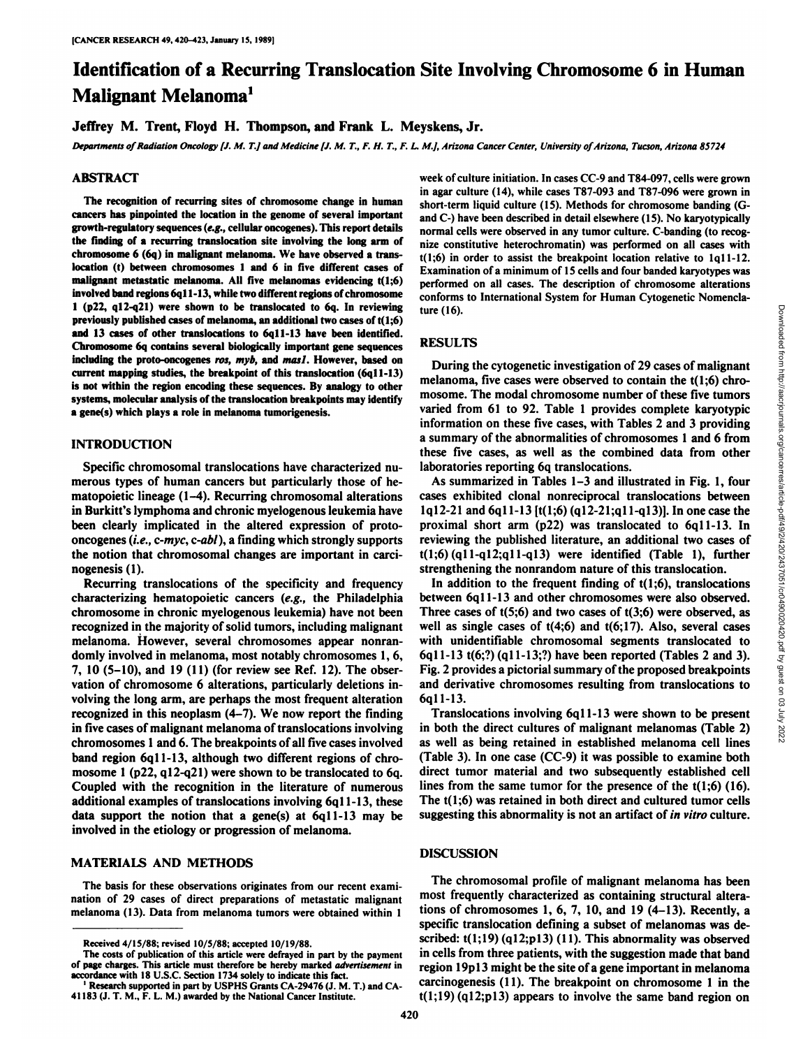# Identification of a Recurring Translocation Site Involving Chromosome 6 in Human Malignant Melanoma<sup>1</sup>

Jeffrey M. Trent, Floyd H. Thompson, and Frank L. Meyskens, Jr.

Departments of Radiation Oncology [J. M. T.] and Medicine [J. M. T., F. H. T., F. L. M.], Arizona Cancer Center, University of Arizona, Tucson, Arizona 85724

## ABSTRACT

The recognition of recurring sites of chromosome change in human cancers has pinpointed the location in the genome of several important growth-regulatory sequences (e.g., cellular oncogenes). This report details the finding of a recurring translocation site involving the long arm of chromosome 6 (6q) in malignant melanoma. We have observed a translocation (t) between chromosomes 1 and 6 in five different cases of malignant metastatic melanoma. All five melanomas evidencing t(l;6) involved band regions 6ql 1-13, while two different regions of chromosome 1 (p22, ql2-q21) were shown to be translocated to 6q. In reviewing previously published cases of melanoma, an additional two cases of t(l;6) and 13 cases of other translocations to 6q11-13 have been identified. Chromosome 6q contains several biologically important gene sequences including the proto-oncogenes ros, myb, and masl. However, based on current mapping studies, the breakpoint of this translocation (6q11-13) is not within the region encoding these sequences. By analogy to other systems, molecular analysis of the translocation breakpoints may identify a gene(s) which plays a role in melanoma tumorigenesis.

## INTRODUCTION

Specific chromosomal translocations have characterized nu merous types of human cancers but particularly those of hematopoietic lineage (1-4). Recurring chromosomal alterations in Burkitt's lymphoma and chronic myelogenous leukemia have been clearly implicated in the altered expression of protooncogenes (i.e., c-myc, c-abl), a finding which strongly supports the notion that chromosomal changes are important in carcinogenesis (1).

Recurring translocations of the specificity and frequency characterizing hematopoietic cancers (e.g., the Philadelphia chromosome in chronic myelogenous leukemia) have not been recognized in the majority of solid tumors, including malignant melanoma. However, several chromosomes appear nonran domly involved in melanoma, most notably chromosomes 1,6, 7, 10 (5-10), and 19 (11) (for review see Ref. 12). The obser vation of chromosome 6 alterations, particularly deletions in volving the long arm, are perhaps the most frequent alteration recognized in this neoplasm (4-7). We now report the finding in five cases of malignant melanoma of translocations involving chromosomes 1 and 6. The breakpoints of all five cases involved band region 6qll-13, although two different regions of chro mosome 1 (p22, ql2-q21) were shown to be translocated to 6q. Coupled with the recognition in the literature of numerous additional examples of translocations involving 6ql 1-13, these data support the notion that a gene(s) at 6qll-13 may be involved in the etiology or progression of melanoma.

### MATERIALS AND METHODS

The basis for these observations originates from our recent exami nation of 29 cases of direct preparations of metastatic malignant melanoma (13). Data from melanoma tumors were obtained within 1

week of culture initiation. In cases CC-9 and T84-097, cells were grown in agar culture (14), while cases T87-093 and T87-096 were grown in short-term liquid culture (15). Methods for chromosome banding (Gand C-) have been described in detail elsewhere (15). No karyotypically normal cells were observed in any tumor culture. C-banding (to recog nize constitutive heterochromatin) was performed on all cases with  $t(1;6)$  in order to assist the breakpoint location relative to  $1q11-12$ . Examination of a minimum of 15 cells and four banded karyotypes was performed on all cases. The description of chromosome alterations conforms to International System for Human Cytogenetic Nomencla ture (16).

## RESULTS

During the cytogenetic investigation of 29 cases of malignant mosome. The modal chromosome number of these five tumors varied from 61 to 92. Table 1 provides complete karyotypic information on these five cases, with Tables 2 and 3 providing a summary of the abnormalities of chromosomes 1 and 6 from these five cases, as well as the combined data from other laboratories reporting 6q translocations.

As summarized in Tables 1-3 and illustrated in Fig. 1, four cases exhibited clonal nonreciprocal translocations between Iql2-21 and 6ql1-13 [t(l;6) (ql2-21;ql l-ql3)]. In one case the proximal short arm (p22) was translocated to 6qll-13. In reviewing the published literature, an additional two cases of  $t(1;6)$  (q11-q12;q11-q13) were identified (Table 1), further strengthening the nonrandom nature of this translocation.

ture (16).<br>
RESULTS<br>
During the cytogenetic investigation of 29 cases of malignant<br>
melanoma, five cases were observed to contain the t(1;6) chro-<br>
mosonne. The modal chromosonne number of these fore tumors<br>
varied from 6 In addition to the frequent finding of  $t(1;6)$ , translocations between 6ql 1-13 and other chromosomes were also observed. Three cases of  $t(5;6)$  and two cases of  $t(3;6)$  were observed, as well as single cases of  $t(4;6)$  and  $t(6;17)$ . Also, several cases with unidentifiable chromosomal segments translocated to 6ql 1-13 t(6;?) (ql 1-13;?) have been reported (Tables 2 and 3). Fig. 2 provides a pictorial summary of the proposed breakpoints and derivative chromosomes resulting from translocations to 6qll-13.

Translocations involving 6ql 1-13 were shown to be present in both the direct cultures of malignant melanomas (Table 2) as well as being retained in established melanoma cell lines (Table 3). In one case (CC-9) it was possible to examine both direct tumor material and two subsequently established cell lines from the same tumor for the presence of the  $t(1;6)$  (16). The t(l;6) was retained in both direct and cultured tumor cells suggesting this abnormality is not an artifact of in vitro culture.

## **DISCUSSION**

The chromosomal profile of malignant melanoma has been most frequently characterized as containing structural altera tions of chromosomes 1, 6, 7, 10, and 19 (4-13). Recently, a specific translocation defining a subset of melanomas was de scribed:  $t(1;19)$  (q12;p13) (11). This abnormality was observed in cells from three patients, with the suggestion made that band region 19p13 might be the site of a gene important in melanoma carcinogenesis (11). The breakpoint on chromosome 1 in the  $t(1;19)$  (q12;p13) appears to involve the same band region on

Received 4/15/88; revised 10/5/88; accepted 10/19/88.

The costs of publication of this article were defrayed in part by the payment of page charges. This article must therefore be hereby marked advertisement in accordance with 18 U.S.C. Section 1734 solely to indicate this fact. '

Research supported in part by USPHS Grants CA-29476 (J. M. T.) and CA-41183 (J. T. M., F. L. M.) awarded by the National Cancer Institute.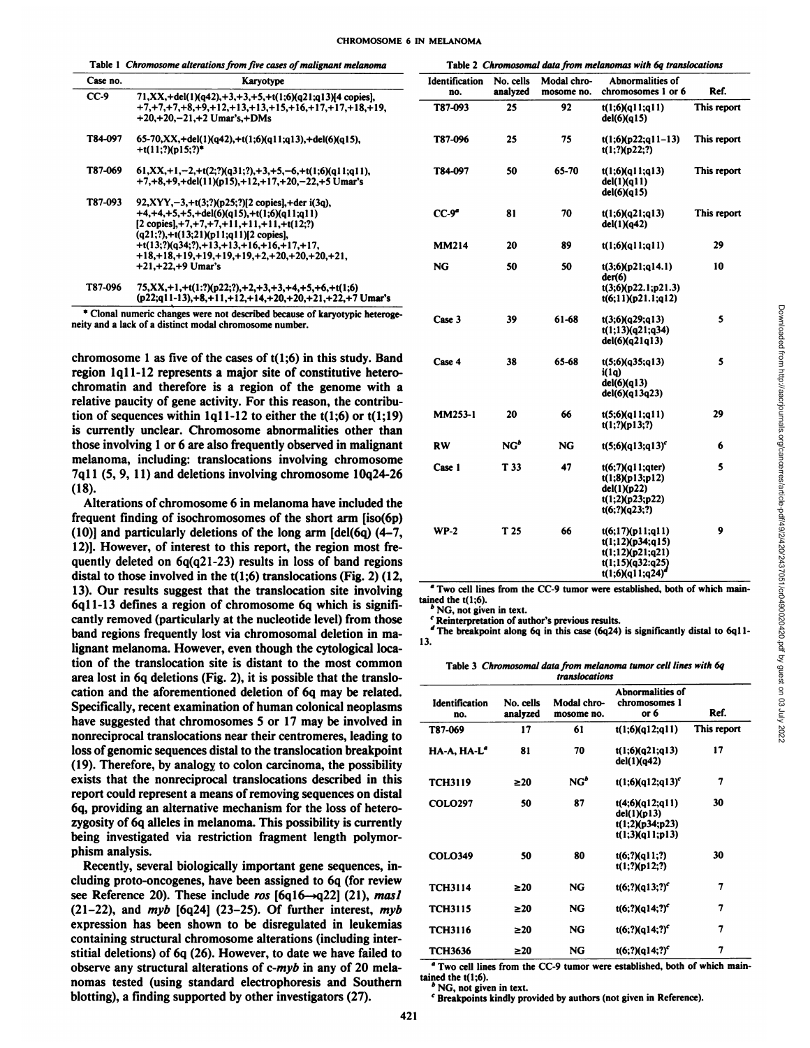|  | Table 1 Chromosome alterations from five cases of malignant melanoma |  |  | Table 2 Chromosomal data from melanomas with 6q translocations |  |  |  |
|--|----------------------------------------------------------------------|--|--|----------------------------------------------------------------|--|--|--|
|--|----------------------------------------------------------------------|--|--|----------------------------------------------------------------|--|--|--|

| Case no. | Karyotype                                                                                                                                                                                                                                                                                                                                                      |
|----------|----------------------------------------------------------------------------------------------------------------------------------------------------------------------------------------------------------------------------------------------------------------------------------------------------------------------------------------------------------------|
| CC-9     | $71, XX, + del(1)(q42), +3, +3, +5, +t(1;6)(q21;q13)$ [4 copies].<br>$+7, +7, +7, +8, +9, +12, +13, +13, +15, +16, +17, +17, +18, +19,$<br>$+20.+20.-21.+2$ Umar's + DMs                                                                                                                                                                                       |
| T84-097  | 65-70,XX,+del(1)(q42),+t(1;6)(q11;q13),+del(6)(q15),<br>$+$ t(11:?)(p15:?)*                                                                                                                                                                                                                                                                                    |
| T87-069  | $61, XX, +1, -2, +t(2; ?)(q31; ?), +3, +5, -6, +t(1; 6)(q11; q11).$<br>$+7, +8, +9, +del(11)(p15), +12, +17, +20, -22, +5$ Umar's                                                                                                                                                                                                                              |
| T87-093  | $92, XYY, -3, +t(3,?)$ (p25;?) [2 copies], +der i(3q),<br>$+4, +4, +5, +5, +del(6)(q15), +t(1,6)(q11;q11)$<br>$[2 \text{ copies}$ , +7, +7, +7, +11, +11, +11, +t(12;?)<br>$(q21;?), +t(13;21)(p11;q11)[2$ copies],<br>$+t(13;?)$ (q34;?),+13,+13,+16,+16,+17,+17,<br>$+18. + 18. + 19. + 19. + 19. + 19. + 2. + 20. + 20. + 20. + 21.$<br>$+21.+22.+9$ Umar's |
| T87-096  | 75,XX,+1,+t(1:?)(p22;?),+2,+3,+3,+4,+5,+6,+t(1;6)<br>(p22;q11-13),+8,+11,+12,+14,+20,+20,+21,+22,+7 Umar's                                                                                                                                                                                                                                                     |

\* Clonal numeric changes were not described because of karyotypic heteroge neity and a lack of a distinct modal chromosome number.

chromosome 1 as five of the cases of  $t(1;6)$  in this study. Band region lqll-12 represents a major site of constitutive heterochromatin and therefore is a region of the genome with a relative paucity of gene activity. For this reason, the contribu tion of sequences within  $1q11-12$  to either the  $t(1;6)$  or  $t(1;19)$ is currently unclear. Chromosome abnormalities other than those involving 1 or 6 are also frequently observed in malignant melanoma, including: translocations involving chromosome 7qll (5, 9, 11) and deletions involving chromosome 10q24-26 (18).

Alterations of chromosome 6 in melanoma have included the frequent finding of isochromosomes of the short arm [iso(6p) (10)] and particularly deletions of the long arm [del(6q) (4-7, 12)]. However, of interest to this report, the region most fre quently deleted on 6q(q21-23) results in loss of band regions distal to those involved in the  $t(1;6)$  translocations (Fig. 2) (12, 13). Our results suggest that the translocation site involving  $\frac{4}{3}$  Two cell line 60.11.12 defines a region of chromosome 60 which is cignity tained the t(1;6). 6qll-13 defines a region of chromosome 6q which is signifi cantly removed (particularly at the nucleotide level) from those band regions frequently lost via chromosomal deletion in ma lignant melanoma. However, even though the cytological loca tion of the translocation site is distant to the most common area lost in 6q deletions (Fig. 2), it is possible that the translo cation and the aforementioned deletion of 6q may be related. Specifically, recent examination of human colonical neoplasms have suggested that chromosomes 5 or 17 may be involved in nonreciprocal translocations near their centromeres, leading to loss of genomic sequences distal to the translocation breakpoint (19). Therefore, by analogy to colon carcinoma, the possibility exists that the nonreciprocal translocations described in this report could represent a means of removing sequences on distal 6q, providing an alternative mechanism for the loss of heterozygosity of 6q alleles in melanoma. This possibility is currently being investigated via restriction fragment length polymor phism analysis.

Recently, several biologically important gene sequences, in cluding proto-oncogenes, have been assigned to 6q (for review see Reference 20). These include ros  $[6q16 \rightarrow q22]$  (21), masl (21-22), and  $myb$  [6q24] (23-25). Of further interest,  $myb$ expression has been shown to be disregulated in leukemias containing structural chromosome alterations (including inter stitial deletions) of 6q (26). However, to date we have failed to observe any structural alterations of  $c\text{-}myb$  in any of 20 mela-<br>nomes tested (using standard electrophoresis and Southern tained the t(1;6). nomas tested (using standard electrophoresis and Southern blotting), a finding supported by other investigators (27).

|                              |                       |                           | <b>Lable 2</b> Chromosomal data from metanomas with og translocations                            |             |
|------------------------------|-----------------------|---------------------------|--------------------------------------------------------------------------------------------------|-------------|
| <b>Identification</b><br>no. | No. cells<br>analyzed | Modal chro-<br>mosome no. | Abnormalities of<br>chromosomes 1 or 6                                                           | Ref.        |
| T87-093                      | 25                    | 92                        | t(1;6)(q11;q11)<br>del(6)(q15)                                                                   | This report |
| T87-096                      | 25                    | 75                        | $t(1;6)(p22;q11-13)$<br>$t(1;?)$ (p22;?)                                                         | This report |
| T84-097                      | 50                    | 65-70                     | t(1;6)(q11;q13)<br>del(1)(q11)<br>del(6)(q15)                                                    | This report |
| $CC-9a$                      | 81                    | 70                        | t(1:6)(q21;q13)<br>del(1)(q42)                                                                   | This report |
| <b>MM214</b>                 | 20                    | 89                        | t(1;6)(q11;q11)                                                                                  | 29          |
| NG                           | 50                    | 50                        | t(3:6)(p21;q14.1)<br>der(6)<br>t(3;6)(p22.1;p21.3)<br>t(6;11)(p21.1;q12)                         | 10          |
| Case 3                       | 39                    | 61-68                     | t(3;6)(q29;q13)<br>t(1;13)(q21;q34)<br>del(6)(q21q13)                                            | 5           |
| Case 4                       | 38                    | 65-68                     | t(5;6)(q35;q13)<br>i(1q)<br>del(6)(q13)<br>del(6)(q13q23)                                        | 5           |
| <b>MM253-1</b>               | 20                    | 66                        | t(5;6)(q11;q11)<br>$t(1;?)$ (p13;?)                                                              | 29          |
| <b>RW</b>                    | NG <sup>b</sup>       | NG                        | $t(5;6)(q13;q13)^c$                                                                              | 6           |
| Case 1                       | T 33                  | 47                        | t(6;7)(q11;qter)<br>t(1;8)(p13;p12)<br>del(1)(p22)<br>t(1;2)(p23;p22)<br>$t(6;?)$ (q23;?)        | 5           |
| $WP-2$                       | T <sub>25</sub>       | 66                        | t(6;17)(p11;q11)<br>t(1;12)(p34;q15)<br>t(1;12)(p21;q21)<br>t(1;15)(q32:q25)<br>t(1;6)(q11;q24)' | 9           |

*\* Two cell lines from the CC-9 tumor were established, both of which main* tained the t(1;6).<br><sup>*'*</sup> NG, not given in text.

*Reinterpretation of author's previous results.*

The breakpoint along 6q in this case (6q24) is significantly distal to 6q11-13.

Table 3 Chromosomal data from melanoma tumor cell lines with 6q *translocations*

| <b>Identification</b><br>no. | No. cells<br>analyzed | Modal chro-<br>mosome no. | Abnormalities of<br>chromosomes 1<br>or 6                            | Ref.        |
|------------------------------|-----------------------|---------------------------|----------------------------------------------------------------------|-------------|
| T87-069                      | 17                    | 61                        | t(1;6)(q12;q11)                                                      | This report |
| HA-A, HA-L <sup>a</sup>      | 81                    | 70                        | t(1;6)(q21;q13)<br>del(1)(q42)                                       | 17          |
| <b>TCH3119</b>               | $\geq 20$             | $NG^b$                    | $t(1;6)(q12;q13)^c$                                                  | 7           |
| <b>COLO297</b>               | 50                    | 87                        | t(4;6)(q12;q11)<br>del(1)(p13)<br>t(1;2)(p34;p23)<br>t(1;3)(q11;p13) | 30          |
| <b>COLO349</b>               | 50                    | 80                        | $t(6;?)$ (q11;?)<br>$t(1;?)$ (p12;?)                                 | 30          |
| <b>TCH3114</b>               | $\geq 20$             | NG                        | $t(6;?)$ (q13;?) <sup>c</sup>                                        | 7           |
| <b>TCH3115</b>               | $\geq 20$             | NG                        | t(6;?)(q14;?) <sup>c</sup>                                           | 7           |
| <b>TCH3116</b>               | $\geq 20$             | NG                        | $t(6;?)$ (q14;?) <sup>c</sup>                                        | 7           |
| <b>TCH3636</b>               | $\geq 20$             | NG                        | t(6;?)(q14;?) <sup>c</sup>                                           | 7           |

*" Two cell lines from the CC-9 tumor were established, both of which main*

NG, not given in text.

*' Breakpoints kindly provided by authors (not given in Reference).*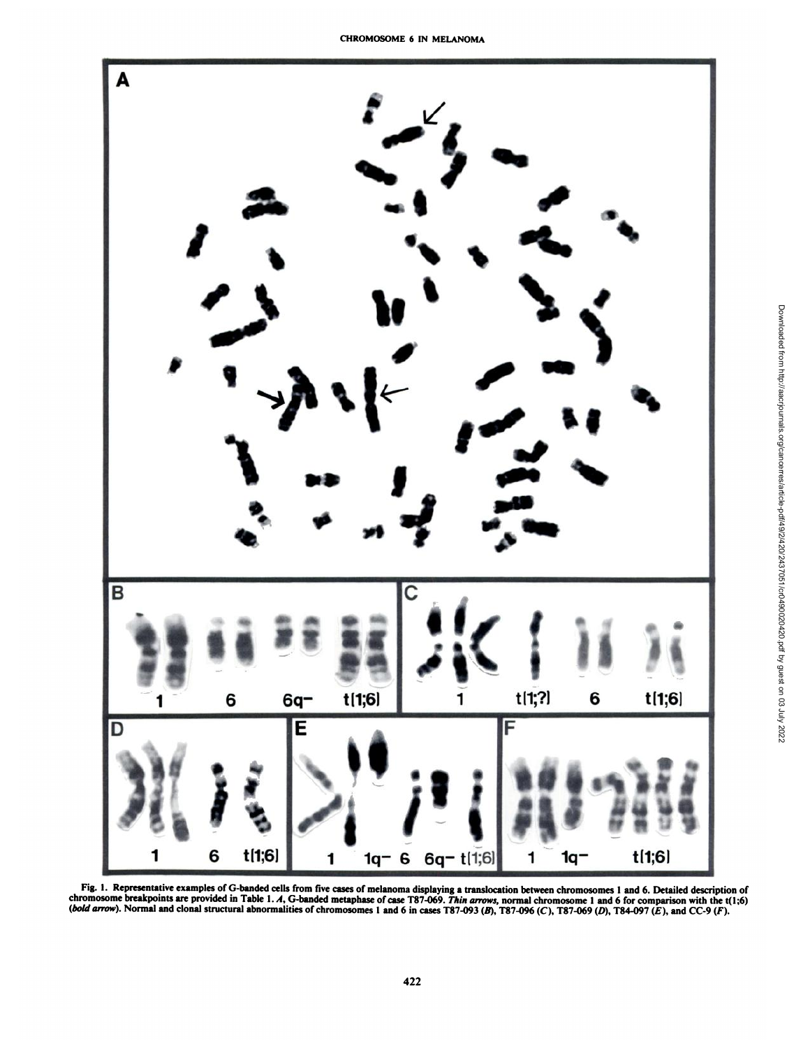

Fig. 1. Representative examples of G-banded cells from five cases of melanoma displaying a translocation between chromosomes 1 and 6. Detailed description of chromosome breakpoints are provided in Table 1. A. G-banded metaphase of case T87-069. Thin arrows, normal chromosome 1 and 6 for comparison with the t(1:6) (bold arrow). Normal and clonal structural abnormalities of chromosomes 1 and 6 in cases T87-093 (B). T87-096 (C). T87-069 (D), T84-097 (E), and CC-9 (F).